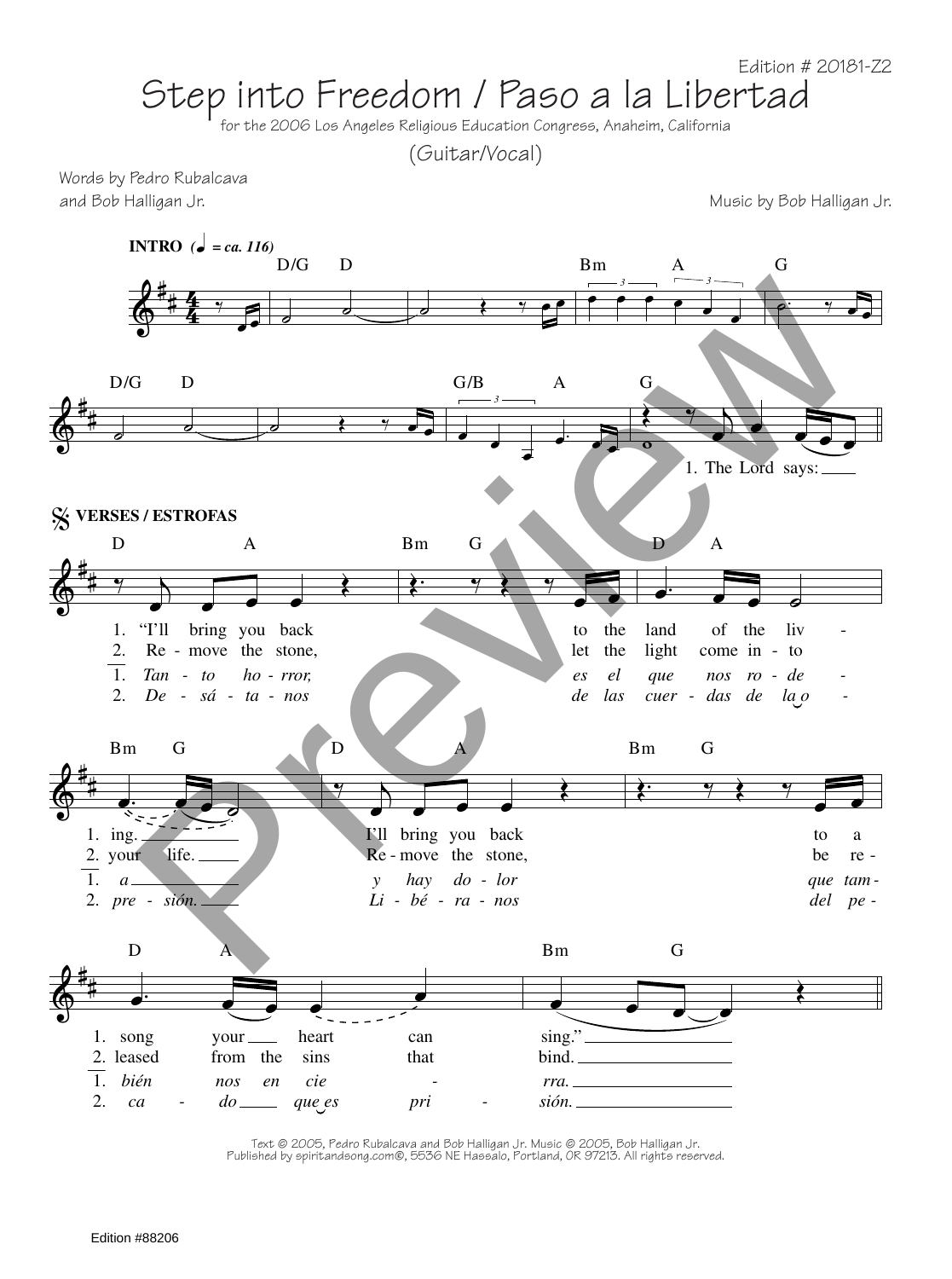## Step into Freedom / Paso a la Libertad<br>for the 2006 Los Angeles Religious Education Congress, Anaheim, California

(Guitar/Vocal)

Words by Pedro Rubalcava and Bob Halligan Jr. Music by Bob Halligan Jr.



Text © 2005, Pedro Rubalcava and Bob Halligan Jr. Music © 2005, Bob Halligan Jr. Published by spiritandsong.com®, 5536 NE Hassalo, Portland, OR 97213. All rights reserved.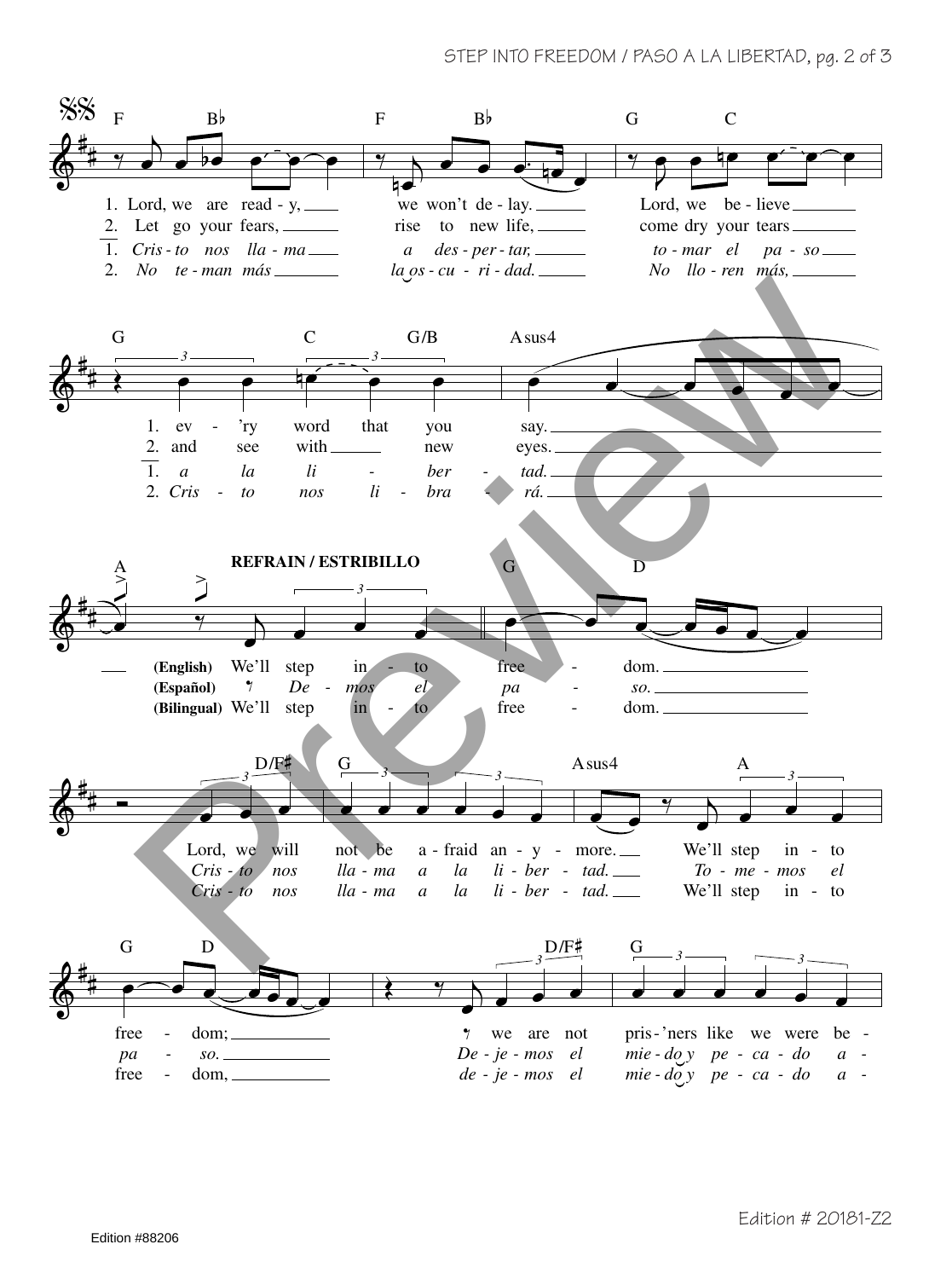